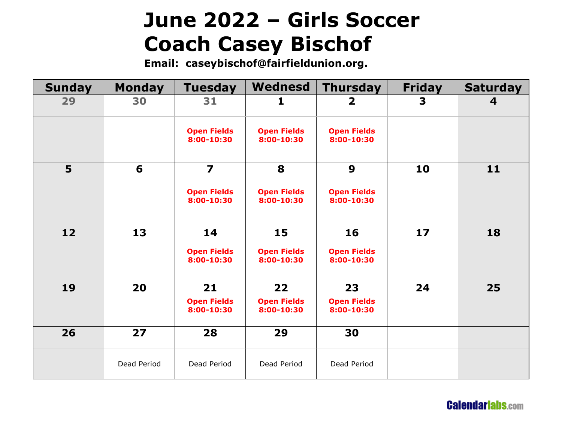# **June 2022 – Girls Soccer Coach Casey Bischof**

**Email: caseybischof@fairfieldunion.org.**

| <b>Sunday</b> | <b>Monday</b> | <b>Tuesday</b>                   | <b>Wednesd</b>                   | <b>Thursday</b>                  | <b>Friday</b> | <b>Saturday</b> |
|---------------|---------------|----------------------------------|----------------------------------|----------------------------------|---------------|-----------------|
| 29            | 30            | 31                               | 1                                | $\mathbf{2}$                     | 3             | 4               |
|               |               | <b>Open Fields</b><br>8:00-10:30 | <b>Open Fields</b><br>8:00-10:30 | <b>Open Fields</b><br>8:00-10:30 |               |                 |
| 5             | 6             | $\overline{\mathbf{z}}$          | 8                                | $\boldsymbol{9}$                 | 10            | 11              |
|               |               | <b>Open Fields</b><br>8:00-10:30 | <b>Open Fields</b><br>8:00-10:30 | <b>Open Fields</b><br>8:00-10:30 |               |                 |
| 12            | 13            | 14                               | 15                               | 16                               | 17            | 18              |
|               |               | <b>Open Fields</b><br>8:00-10:30 | <b>Open Fields</b><br>8:00-10:30 | <b>Open Fields</b><br>8:00-10:30 |               |                 |
| 19            | 20            | 21                               | 22                               | 23                               | 24            | 25              |
|               |               | <b>Open Fields</b><br>8:00-10:30 | <b>Open Fields</b><br>8:00-10:30 | <b>Open Fields</b><br>8:00-10:30 |               |                 |
| 26            | 27            | 28                               | 29                               | 30                               |               |                 |
|               | Dead Period   | Dead Period                      | Dead Period                      | Dead Period                      |               |                 |

**CalendariabS.com**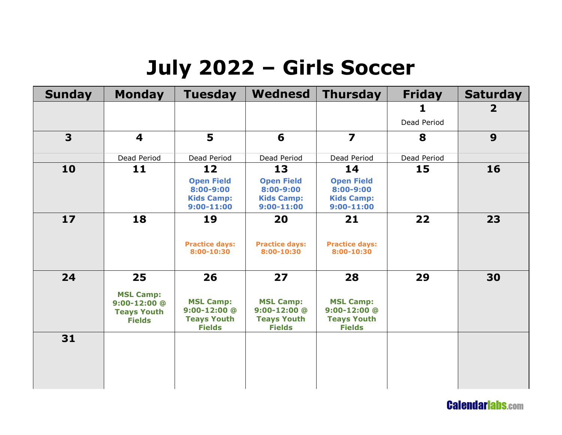### **July 2022 – Girls Soccer**

| <b>Sunday</b> | <b>Monday</b>                                                                     | <b>Tuesday</b>                                                                    | Wednesd                                                                           | <b>Thursday</b>                                                                   | <b>Friday</b> | <b>Saturday</b> |
|---------------|-----------------------------------------------------------------------------------|-----------------------------------------------------------------------------------|-----------------------------------------------------------------------------------|-----------------------------------------------------------------------------------|---------------|-----------------|
|               |                                                                                   |                                                                                   |                                                                                   |                                                                                   |               | $\overline{2}$  |
|               |                                                                                   |                                                                                   |                                                                                   |                                                                                   | Dead Period   |                 |
| 3             | 4                                                                                 | 5                                                                                 | 6                                                                                 | $\overline{\mathbf{z}}$                                                           | 8             | 9               |
|               | Dead Period                                                                       | Dead Period                                                                       | Dead Period                                                                       | Dead Period                                                                       | Dead Period   |                 |
| 10            | 11                                                                                | 12<br><b>Open Field</b><br>8:00-9:00<br><b>Kids Camp:</b><br>$9:00 - 11:00$       | 13<br><b>Open Field</b><br>8:00-9:00<br><b>Kids Camp:</b><br>$9:00 - 11:00$       | 14<br><b>Open Field</b><br>8:00-9:00<br><b>Kids Camp:</b><br>$9:00 - 11:00$       | 15            | 16              |
| 17            | 18                                                                                | 19<br><b>Practice days:</b><br>8:00-10:30                                         | 20<br><b>Practice days:</b><br>8:00-10:30                                         | 21<br><b>Practice days:</b><br>8:00-10:30                                         | 22            | 23              |
| 24            | 25<br><b>MSL Camp:</b><br>$9:00 - 12:00$ @<br><b>Teays Youth</b><br><b>Fields</b> | 26<br><b>MSL Camp:</b><br>$9:00 - 12:00$ @<br><b>Teays Youth</b><br><b>Fields</b> | 27<br><b>MSL Camp:</b><br>$9:00 - 12:00$ @<br><b>Teays Youth</b><br><b>Fields</b> | 28<br><b>MSL Camp:</b><br>$9:00 - 12:00$ @<br><b>Teays Youth</b><br><b>Fields</b> | 29            | 30              |
| 31            |                                                                                   |                                                                                   |                                                                                   |                                                                                   |               |                 |

**CalendariabS.com**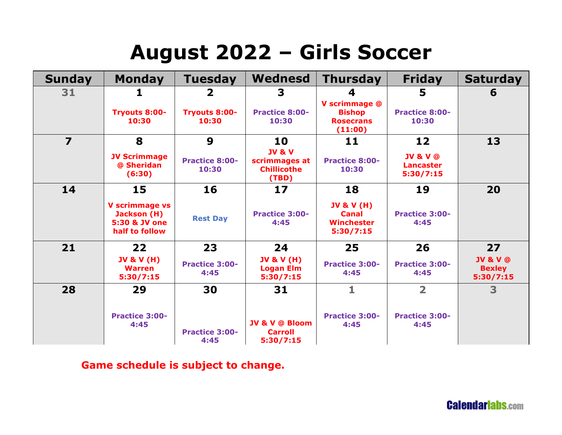### **August 2022 – Girls Soccer**

| <b>Sunday</b>           | <b>Monday</b>                                                           | <b>Tuesday</b>                 | Wednesd                                                           | <b>Thursday</b>                                                  | <b>Friday</b>                                        | <b>Saturday</b>                                   |
|-------------------------|-------------------------------------------------------------------------|--------------------------------|-------------------------------------------------------------------|------------------------------------------------------------------|------------------------------------------------------|---------------------------------------------------|
| 31                      | 1                                                                       | $\overline{\mathbf{2}}$        | 3                                                                 | 4                                                                | 5                                                    | 6                                                 |
|                         | <b>Tryouts 8:00-</b><br>10:30                                           | <b>Tryouts 8:00-</b><br>10:30  | <b>Practice 8:00-</b><br>10:30                                    | V scrimmage @<br><b>Bishop</b><br><b>Rosecrans</b><br>(11:00)    | <b>Practice 8:00-</b><br>10:30                       |                                                   |
| $\overline{\mathbf{z}}$ | 8                                                                       | 9                              | 10                                                                | 11                                                               | 12                                                   | 13                                                |
|                         | <b>JV Scrimmage</b><br>@ Sheridan<br>(6:30)                             | <b>Practice 8:00-</b><br>10:30 | <b>JV &amp; V</b><br>scrimmages at<br><b>Chillicothe</b><br>(TBD) | <b>Practice 8:00-</b><br>10:30                                   | <b>JV &amp; V @</b><br><b>Lancaster</b><br>5:30/7:15 |                                                   |
| 14                      | 15                                                                      | 16                             | 17                                                                | 18                                                               | 19                                                   | 20                                                |
|                         | <b>V</b> scrimmage vs<br>Jackson (H)<br>5:30 & JV one<br>half to follow | <b>Rest Day</b>                | <b>Practice 3:00-</b><br>4:45                                     | <b>JV &amp; V (H)</b><br><b>Canal</b><br>Winchester<br>5:30/7:15 | <b>Practice 3:00-</b><br>4:45                        |                                                   |
| 21                      | $22 \overline{ }$                                                       | 23                             | 24                                                                | 25                                                               | 26                                                   | 27                                                |
|                         | <b>JV &amp; V (H)</b><br>Warren<br>5:30/7:15                            | <b>Practice 3:00-</b><br>4:45  | <b>JV &amp; V (H)</b><br><b>Logan Elm</b><br>5:30/7:15            | <b>Practice 3:00-</b><br>4:45                                    | <b>Practice 3:00-</b><br>4:45                        | <b>JV &amp; V @</b><br><b>Bexley</b><br>5:30/7:15 |
| 28                      | 29                                                                      | 30                             | 31                                                                | 1                                                                | $\overline{\mathbf{2}}$                              | 3                                                 |
|                         | <b>Practice 3:00-</b><br>4:45                                           | <b>Practice 3:00-</b><br>4:45  | <b>JV &amp; V @ Bloom</b><br><b>Carroll</b><br>5:30/7:15          | <b>Practice 3:00-</b><br>4:45                                    | <b>Practice 3:00-</b><br>4:45                        |                                                   |

#### **Game schedule is subject to change.**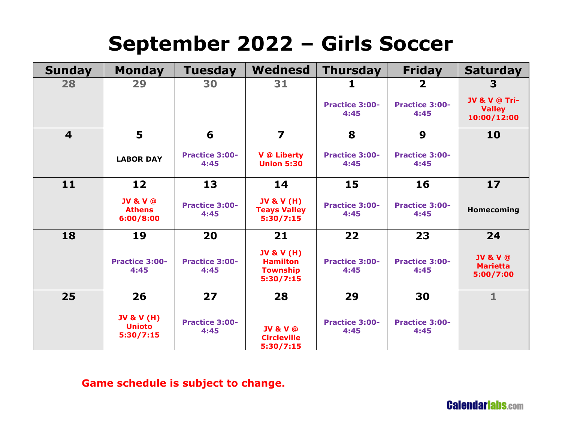# **September 2022 – Girls Soccer**

| <b>Sunday</b>           | <b>Monday</b>                                       | <b>Tuesday</b>                | <b>Wednesd</b>                                                           | <b>Thursday</b>               | <b>Friday</b>                 | <b>Saturday</b>                                     |
|-------------------------|-----------------------------------------------------|-------------------------------|--------------------------------------------------------------------------|-------------------------------|-------------------------------|-----------------------------------------------------|
| 28                      | 29                                                  | 30                            | 31                                                                       | ı                             | $\overline{\mathbf{2}}$       | 3                                                   |
|                         |                                                     |                               |                                                                          | <b>Practice 3:00-</b><br>4:45 | <b>Practice 3:00-</b><br>4:45 | JV & V @ Tri-<br><b>Valley</b><br>10:00/12:00       |
| $\overline{\mathbf{4}}$ | 5                                                   | 6                             | $\overline{\mathbf{z}}$                                                  | 8                             | 9                             | 10                                                  |
|                         | <b>LABOR DAY</b>                                    | <b>Practice 3:00-</b><br>4:45 | <b>V</b> @ Liberty<br><b>Union 5:30</b>                                  | <b>Practice 3:00-</b><br>4:45 | <b>Practice 3:00-</b><br>4:45 |                                                     |
| 11                      | 12 <sub>2</sub>                                     | 13                            | 14                                                                       | 15                            | 16                            | 17                                                  |
|                         | <b>JV &amp; V @</b><br><b>Athens</b><br>6:00/8:00   | <b>Practice 3:00-</b><br>4:45 | <b>JV &amp; V (H)</b><br><b>Teays Valley</b><br>5:30/7:15                | <b>Practice 3:00-</b><br>4:45 | <b>Practice 3:00-</b><br>4:45 | Homecoming                                          |
| 18                      | 19                                                  | 20                            | 21                                                                       | 22                            | 23                            | 24                                                  |
|                         | <b>Practice 3:00-</b><br>4:45                       | <b>Practice 3:00-</b><br>4:45 | <b>JV &amp; V (H)</b><br><b>Hamilton</b><br><b>Township</b><br>5:30/7:15 | <b>Practice 3:00-</b><br>4:45 | <b>Practice 3:00-</b><br>4:45 | <b>JV &amp; V @</b><br><b>Marietta</b><br>5:00/7:00 |
| 25                      | 26                                                  | 27                            | 28                                                                       | 29                            | 30                            | $\mathbf{1}$                                        |
|                         | <b>JV &amp; V (H)</b><br><b>Unioto</b><br>5:30/7:15 | <b>Practice 3:00-</b><br>4:45 | <b>JV &amp; V @</b><br><b>Circleville</b><br>5:30/7:15                   | <b>Practice 3:00-</b><br>4:45 | <b>Practice 3:00-</b><br>4:45 |                                                     |

#### **Game schedule is subject to change.**